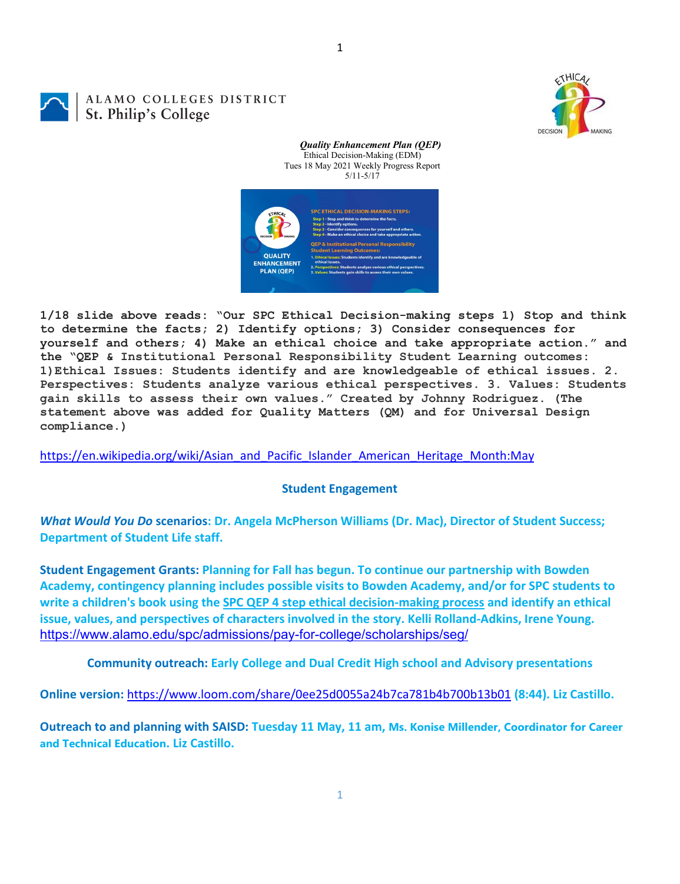DECISION



## ALAMO COLLEGES DISTRICT St. Philip's College



*Quality Enhancement Plan (QEP)* Ethical Decision-Making (EDM)

**1/18 slide above reads: "Our SPC Ethical Decision-making steps 1) Stop and think to determine the facts; 2) Identify options; 3) Consider consequences for yourself and others; 4) Make an ethical choice and take appropriate action." and the "QEP & Institutional Personal Responsibility Student Learning outcomes: 1)Ethical Issues: Students identify and are knowledgeable of ethical issues. 2. Perspectives: Students analyze various ethical perspectives. 3. Values: Students gain skills to assess their own values." Created by Johnny Rodriguez. (The statement above was added for Quality Matters (QM) and for Universal Design compliance.)**

[https://en.wikipedia.org/wiki/Asian\\_and\\_Pacific\\_Islander\\_American\\_Heritage\\_Month:May](https://en.wikipedia.org/wiki/Asian_and_Pacific_Islander_American_Heritage_Month:May)

## **Student Engagement**

*What Would You Do* **scenarios: Dr. Angela McPherson Williams (Dr. Mac), Director of Student Success; Department of Student Life staff.**

**Student Engagement Grants: Planning for Fall has begun. To continue our partnership with Bowden Academy, contingency planning includes possible visits to Bowden Academy, and/or for SPC students to write a children's book using the [SPC QEP 4 step ethical decision-making process](https://mail.alamo.edu/owa/redir.aspx?REF=QPGGgOE-3HbbrbCAzqBFQWbtY3e2Gc0f0qSFld99-4hqZWSPr8DYCAFodHRwczovL3d3dy5hbGFtby5lZHUvbGluay8zYjg5NjQxMTY3MGY0YTZlYjU2MzNkNGFmNjE1OTBjNC5hc3B4) and identify an ethical issue, values, and perspectives of characters involved in the story. Kelli Rolland-Adkins, Irene Young.** <https://www.alamo.edu/spc/admissions/pay-for-college/scholarships/seg/>

**Community outreach: Early College and Dual Credit High school and Advisory presentations**

**Online version:** <https://www.loom.com/share/0ee25d0055a24b7ca781b4b700b13b01> **(8:44). Liz Castillo.**

**Outreach to and planning with SAISD: Tuesday 11 May, 11 am, Ms. Konise Millender, Coordinator for Career and Technical Education. Liz Castillo.**